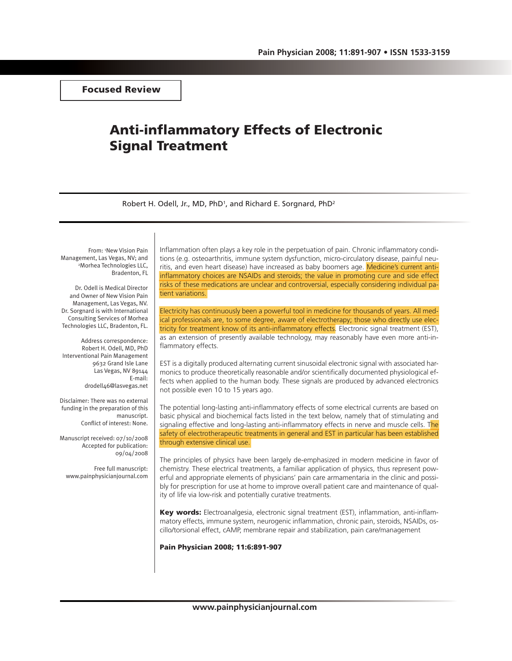Focused Review

# Anti-inflammatory Effects of Electronic Signal Treatment

Robert H. Odell, Jr., MD, PhD<sup>1</sup>, and Richard E. Sorgnard, PhD $^2$ 

From: 1 New Vision Pain Management, Las Vegas, NV; and 2 Morhea Technologies LLC, Bradenton, FL

Dr. Odell is Medical Director and Owner of New Vision Pain Management, Las Vegas, NV. Dr. Sorgnard is with International Consulting Services of Morhea Technologies LLC, Bradenton, FL.

Address correspondence: Robert H. Odell, MD, PhD Interventional Pain Management 9632 Grand Isle Lane Las Vegas, NV 89144 E-mail: drodell46@lasvegas.net

Disclaimer: There was no external funding in the preparation of this manuscript. Conflict of interest: None.

Manuscript received: 07/10/2008 Accepted for publication: 09/04/2008

Free full manuscript: www.painphysicianjournal.com

Inflammation often plays a key role in the perpetuation of pain. Chronic inflammatory conditions (e.g. osteoarthritis, immune system dysfunction, micro-circulatory disease, painful neuritis, and even heart disease) have increased as baby boomers age. Medicine's current antiinflammatory choices are NSAIDs and steroids; the value in promoting cure and side effect risks of these medications are unclear and controversial, especially considering individual patient variations.

Electricity has continuously been a powerful tool in medicine for thousands of years. All medical professionals are, to some degree, aware of electrotherapy; those who directly use electricity for treatment know of its anti-inflammatory effects. Electronic signal treatment (EST), as an extension of presently available technology, may reasonably have even more anti-inflammatory effects.

EST is a digitally produced alternating current sinusoidal electronic signal with associated harmonics to produce theoretically reasonable and/or scientifically documented physiological effects when applied to the human body. These signals are produced by advanced electronics not possible even 10 to 15 years ago.

The potential long-lasting anti-inflammatory effects of some electrical currents are based on basic physical and biochemical facts listed in the text below, namely that of stimulating and signaling effective and long-lasting anti-inflammatory effects in nerve and muscle cells. The safety of electrotherapeutic treatments in general and EST in particular has been established through extensive clinical use.

The principles of physics have been largely de-emphasized in modern medicine in favor of chemistry. These electrical treatments, a familiar application of physics, thus represent powerful and appropriate elements of physicians' pain care armamentaria in the clinic and possibly for prescription for use at home to improve overall patient care and maintenance of quality of life via low-risk and potentially curative treatments.

Key words: Electroanalgesia, electronic signal treatment (EST), inflammation, anti-inflammatory effects, immune system, neurogenic inflammation, chronic pain, steroids, NSAIDs, oscillo/torsional effect, cAMP, membrane repair and stabilization, pain care/management

Pain Physician 2008; 11:6:891-907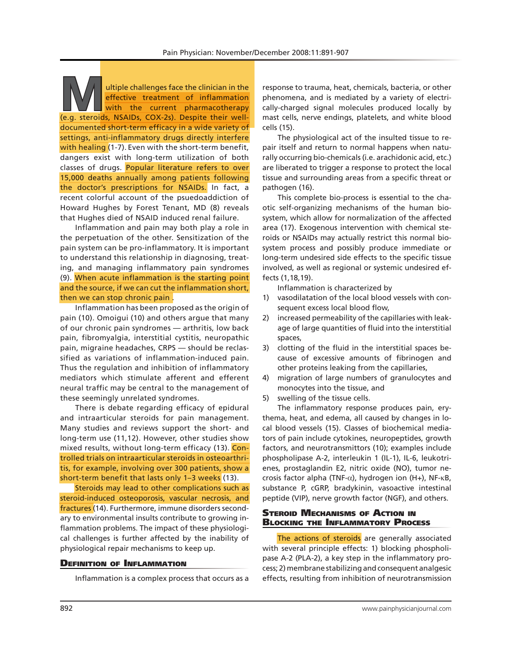Weltiple challenges face the clinician in the effective treatment of inflammation with the current pharmacotherapy (e.g. steroids, NSAIDs, COX-2s). Despite their welleffective treatment of inflammation with the current pharmacotherapy documented short-term efficacy in a wide variety of settings, anti-inflammatory drugs directly interfere with healing (1-7). Even with the short-term benefit, dangers exist with long-term utilization of both classes of drugs. Popular literature refers to over 15,000 deaths annually among patients following the doctor's prescriptions for NSAIDs. In fact, a recent colorful account of the psuedoaddiction of Howard Hughes by Forest Tenant, MD (8) reveals that Hughes died of NSAID induced renal failure.

Inflammation and pain may both play a role in the perpetuation of the other. Sensitization of the pain system can be pro-inflammatory. It is important to understand this relationship in diagnosing, treating, and managing inflammatory pain syndromes (9). When acute inflammation is the starting point and the source, if we can cut the inflammation short, then we can stop chronic pain .

Inflammation has been proposed as the origin of pain (10). Omoigui (10) and others argue that many of our chronic pain syndromes — arthritis, low back pain, fibromyalgia, interstitial cystitis, neuropathic pain, migraine headaches, CRPS — should be reclassified as variations of inflammation-induced pain. Thus the regulation and inhibition of inflammatory mediators which stimulate afferent and efferent neural traffic may be central to the management of these seemingly unrelated syndromes.

There is debate regarding efficacy of epidural and intraarticular steroids for pain management. Many studies and reviews support the short- and long-term use (11,12). However, other studies show mixed results, without long-term efficacy (13). Controlled trials on intraarticular steroids in osteoarthritis, for example, involving over 300 patients, show a short-term benefit that lasts only 1-3 weeks (13).

Steroids may lead to other complications such as steroid-induced osteoporosis, vascular necrosis, and fractures (14). Furthermore, immune disorders secondary to environmental insults contribute to growing inflammation problems. The impact of these physiological challenges is further affected by the inability of physiological repair mechanisms to keep up.

### Definition of Inflammation

Inflammation is a complex process that occurs as a

response to trauma, heat, chemicals, bacteria, or other phenomena, and is mediated by a variety of electrically-charged signal molecules produced locally by mast cells, nerve endings, platelets, and white blood cells (15).

The physiological act of the insulted tissue to repair itself and return to normal happens when naturally occurring bio-chemicals (i.e. arachidonic acid, etc.) are liberated to trigger a response to protect the local tissue and surrounding areas from a specific threat or pathogen (16).

This complete bio-process is essential to the chaotic self-organizing mechanisms of the human biosystem, which allow for normalization of the affected area (17). Exogenous intervention with chemical steroids or NSAIDs may actually restrict this normal biosystem process and possibly produce immediate or long-term undesired side effects to the specific tissue involved, as well as regional or systemic undesired effects (1,18,19).

Inflammation is characterized by

- 1) vasodilatation of the local blood vessels with consequent excess local blood flow,
- 2) increased permeability of the capillaries with leakage of large quantities of fluid into the interstitial spaces,
- 3) clotting of the fluid in the interstitial spaces because of excessive amounts of fibrinogen and other proteins leaking from the capillaries,
- 4) migration of large numbers of granulocytes and monocytes into the tissue, and
- 5) swelling of the tissue cells.

The inflammatory response produces pain, erythema, heat, and edema, all caused by changes in local blood vessels (15). Classes of biochemical mediators of pain include cytokines, neuropeptides, growth factors, and neurotransmittors (10); examples include phospholipase A-2, interleukin 1 (IL-1), IL-6, leukotrienes, prostaglandin E2, nitric oxide (NO), tumor necrosis factor alpha (TNF-α), hydrogen ion (H+), NF-κB, substance P, cGRP, bradykinin, vasoactive intestinal peptide (VIP), nerve growth factor (NGF), and others.

### Steroid Mechanisms of Action in Blocking the Inflammatory Process

The actions of steroids are generally associated with several principle effects: 1) blocking phospholipase A-2 (PLA-2), a key step in the inflammatory process; 2) membrane stabilizing and consequent analgesic effects, resulting from inhibition of neurotransmission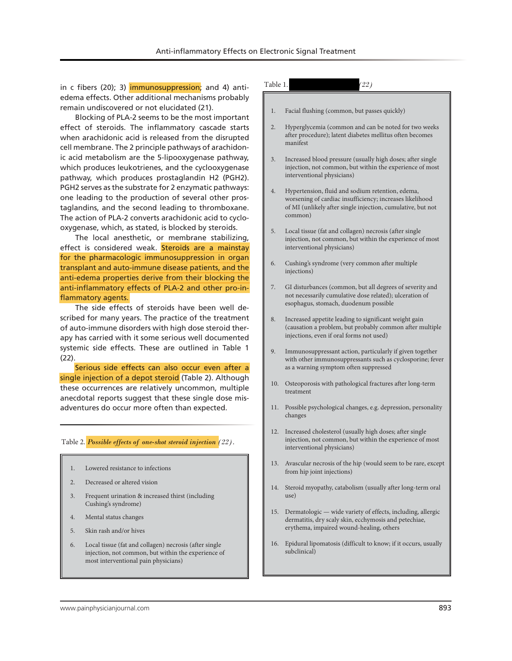in c fibers (20); 3) immunosuppression; and 4) antiedema effects. Other additional mechanisms probably remain undiscovered or not elucidated (21).

Blocking of PLA-2 seems to be the most important effect of steroids. The inflammatory cascade starts when arachidonic acid is released from the disrupted cell membrane. The 2 principle pathways of arachidonic acid metabolism are the 5-lipooxygenase pathway, which produces leukotrienes, and the cyclooxygenase pathway, which produces prostaglandin H2 (PGH2). PGH2 serves as the substrate for 2 enzymatic pathways: one leading to the production of several other prostaglandins, and the second leading to thromboxane. The action of PLA-2 converts arachidonic acid to cyclooxygenase, which, as stated, is blocked by steroids.

The local anesthetic, or membrane stabilizing, effect is considered weak. Steroids are a mainstay for the pharmacologic immunosuppression in organ transplant and auto-immune disease patients, and the anti-edema properties derive from their blocking the anti-inflammatory effects of PLA-2 and other pro-inflammatory agents.

The side effects of steroids have been well described for many years. The practice of the treatment of auto-immune disorders with high dose steroid therapy has carried with it some serious well documented systemic side effects. These are outlined in Table 1 (22).

Serious side effects can also occur even after a single injection of a depot steroid (Table 2). Although these occurrences are relatively uncommon, multiple anecdotal reports suggest that these single dose misadventures do occur more often than expected.

Table 2. *Possible effects of one-shot steroid injection (22).*

- 1. Lowered resistance to infections
- 2. Decreased or altered vision
- 3. Frequent urination & increased thirst (including Cushing's syndrome)
- 4. Mental status changes
- 5. Skin rash and/or hives
- 6. Local tissue (fat and collagen) necrosis (after single injection, not common, but within the experience of most interventional pain physicians)

#### Table 1. *Side effects of steroids (22)*

- 1. Facial flushing (common, but passes quickly)
- 2. Hyperglycemia (common and can be noted for two weeks after procedure); latent diabetes mellitus often becomes manifest
- 3. Increased blood pressure (usually high doses; after single injection, not common, but within the experience of most interventional physicians)
- 4. Hypertension, fluid and sodium retention, edema, worsening of cardiac insufficiency; increases likelihood of MI (unlikely after single injection, cumulative, but not common)
- Local tissue (fat and collagen) necrosis (after single injection, not common, but within the experience of most interventional physicians)
- 6. Cushing's syndrome (very common after multiple injections)
- 7. GI disturbances (common, but all degrees of severity and not necessarily cumulative dose related); ulceration of esophagus, stomach, duodenum possible
- Increased appetite leading to significant weight gain (causation a problem, but probably common after multiple injections, even if oral forms not used)
- 9. Immunosuppressant action, particularly if given together with other immunosuppressants such as cyclosporine; fever as a warning symptom often suppressed
- 10. Osteoporosis with pathological fractures after long-term treatment
- 11. Possible psychological changes, e.g. depression, personality changes
- 12. Increased cholesterol (usually high doses; after single injection, not common, but within the experience of most interventional physicians)
- 13. Avascular necrosis of the hip (would seem to be rare, except from hip joint injections)
- 14. Steroid myopathy, catabolism (usually after long-term oral use)
- 15. Dermatologic wide variety of effects, including, allergic dermatitis, dry scaly skin, ecchymosis and petechiae, erythema, impaired wound-healing, others
- 16. Epidural lipomatosis (difficult to know; if it occurs, usually subclinical)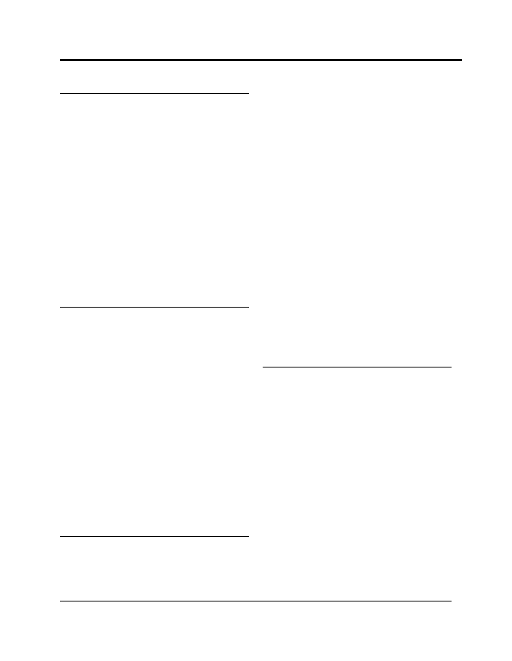### NSAID M ECHANIsms OF A CTION IN BLOCKING THE INFLAMMATRY PROCESS

NSAIDs block inflammation by interfering with the action of COX-1 and COX-2 enzymes. These en zymes facilitate the conversion of arachidonic acid to prostaglandins and thromboxane.

Side effects of NSAIDs include interference with platelets, gastric irritation and bleeding, and renal effects. Since NSAIDs are taken regularly by approxi mately 33 million Americans, this is a huge epide miologic challenge. COX-2 inhibitors avoid many of the side effects, but  $2$  — rofecoxib and valdecoxib — have been pulled off the market because of a higher risk of cardiac dysfunction and death and (in the case of valdecoxib) Stevens-Johnson syndrome. As stated previously in the introduction, various reports estimate that more than 15,000 deaths occur each year as the result of NSAID toxicity. This toxic ity is especially noticed in the elderly where NSAID toxicity is more prevalent.

### HIsTORY OF ELECTRICITY 's U sE IN M EDICINE

Electricity has been used for centuries in both di agnostic and therapeutic applications. The 2 earliest recorded uses were in 2750 BC wherein the electri cal properties of the Nile catfish were discussed and Hippocrates use of electric fish for medical treatment in 420 BC. In the 1700s European physicians used controlled electrical currents for numerous medical problems including pain and circulatory dysfunction. Ben Franklin documented pain relief using electric currents for a variety of ailments including frozen shoulder. A citation in the early 1900s expounds the benefits of electric current for "…the relief of the superimposed infiltration and chronic inflammation" for an enlarged prostate (23). The same reference goes on to state that "The employment of electricity is amply justified in [cases of pathologically incurable diseases] for the improvement of metabolism, the promotion of comfort and the prolongation of life, but no cure can be expected" (23).

### INTROD UCTION TO CONCEPT OF ELECTRIC SIGNAL ENERGY AS A THERA PEUTIC M ODALITY

More recently, the most significant develop ment occurred when Becker and Seldon electrical ly induced limb regeneration in frogs and rats. In

1982 they reasoned that electromagnetic fields exist that control all aspects of life processes. His stud ies of extra-neuronal analog electrical morphoge netic fields have eliminated any rational arguments against the importance of bioelectricity for all basic life processes (24). Becker and Seldon asserts in their landmark book that modern scientific knowledge of life's electrical dimension has yielded fundamental insights into pain, inflammation, healing, growth, consciousness, and the nature of life itself (24). The authors now apply these concepts further by show ing the influence of EST on inflammation.

An electric field forms around any electrical charge. This means that any other charged object will be attracted (if the polarities are opposite) or repelled (if they are the same) for a certain distance around the first object (24). Electric currents have numerous direct and indirect effects on tissue; these effects will be discussed in more detail in the section "Discussion of the Anti-Inflammatory Effects of EST." Medical/scientific investigations are ongoing and these discoveries could presage a revolution in biol ogy and medicine. According to Becker and Seldon, in the not-to-distant future, physicians may have the ability to control and stimulate bio-system healing at will with the use of exogenous energy fields (24).

# T HE P REsENT ROLE OF ELECTRICITY IN M EDICINE

It is well known and well accepted that electricity plays an important role in contemporary medicine (25). In diagnostic applications there are a number of valu able devices such as electrocardiography (ECG), elec tro-encephalography (EEG), electromyography (EMG), nerve conduction velocity (NCV), electrooculography, electroretinography, electronystography, electroco chleography, evoked potentials, skin galvanic/imped ance tests, current perception threshold (CPT) testing, and sensory nerve conduction testing (Neuralscan).

Therapeutic applications with electrical modali ties include a number of medical devices: transcuta neous electric nerve stimulator (TENS), percutaneous electric nerve stimulator (PENS), powered muscle stimulators, interferential current devices (IFC), spi nal cord stimulator (SCS), electroconvulsive therapy (ECT), high-voltage galvanic stimulators (HGVS), transcranial electric stimulation, microcurrent stim ulators, bone growth stimulators, deep brain probe stimulators, and others.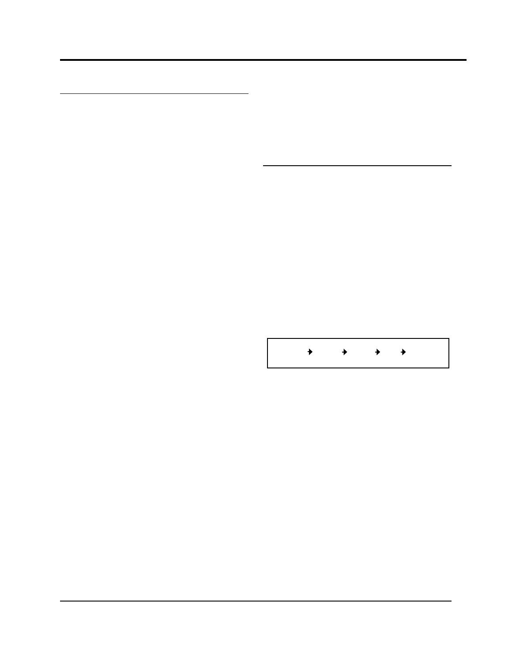# DEFINING ELECTRONIC SIGNAL T HERApY AND ITs EFFECTs

Sensory and motor neural activity is associated with the action potential, and most chemical interven tions become electrical events. We therefore introduce the concept of treating inflammation with specific pa rameter electronic signal treatment (EST), defined as a digitally produced sinusoidal electronic signal with associated harmonics to produce desired physiological effects. The signals are produced by advanced elec tronics not available even 10 to 15 years ago.

EST appears to modulate or accelerate the anti-in flammatory process to reduce perpetuation that leads to chronic conditions, especially chronic pain. Con comitant cellular mechanisms support the anti-inflam matory effects of EST; numerous citations exist from the molecular biology, physics, and biochemical litera ture supporting these ideas. These actions include the oscillo/torsional effect, pH normalization, balancing metabolic concentration differences, cAMP formation and activation (leading to the normalization of cell function), cell membrane repair and stabilization, sal utary effects on metabolism, sustained depolarization of the nerve cell membrane (producing nerve block), immune system support, and the obvious macro ben efits of increases in blood flow and edema reduction.

The newer systems are EST energy devices which use frequency modulation (FM) alone or amplitude modulation (AM) combined with FM as the basis for signaling the bio-system to initiate complex biochemi cal responses and actions, e.g., hormone imitative effects, second-messenger formation (cAMP), inhibi tion of contraction of smooth muscle, vasodilatation, membrane stabilization, and others.

The early systems, or transcutaneous electrical nerve stimulators (TENS), use AM only with frequen cies at or between approximately 1–200 Hz. These AM frequencies tend to stimulate and cause neurons to fire. Depending on the rate of nerve impulse firing, a number of physiological mechanisms of action can occur. A simple way of thinking about the differences between EST and TENS is that EST frequency ranges tend to signal, while well known TENS ranges tend to stimulate.

To hypothesize and project how TENS and nextgeneration EST devices will affect or manipulate the naturally occurring electrical properties of the human bio-system is a daunting and currently impossible task. Although a complete description is beyond the scope

of this paper and our current knowledge base, every journey begins with a single step. A purpose of this paper is to provide this first step and a foundation to pique the interest of basic scientists and clinicians alike.

### OVERVIEW OF HOW ELECTRIC SIGNALS MAY BE M ORE P HYsIOLOGICALLY EFFECTIVE T HAN EXOGENOus CHEmICALs

The intent of chemical interventions for the treat ment of the inflammatory process is to block the process at one or more of the initial steps in the cascade. The authors postulate that EST facilitates the naturally occurring inflammatory process without interfering with the normal inflammatory cascade progression until inflammation is resolved, an idea which at first glance may seem counterintuitive. This facilitation in turn accelerates the anti-inflammatory process to reduce the probability that it becomes drawn out and leads to chronic inflammation. The specific mecha nisms of action of the applied electronic signal energy can be effectively used to reduce or modify the unde sired symptoms normally present during this inflam matory0 cascade process. This is illustrated in the box below.

Inflammation Faciliation Diffusion Repair Normalization

Ten mechanisms are outlined below, which high light how EST appears to facilitate and accelerate this naturally occurring cascade and eliminate lingering inflammation and its effects on the introduction and proliferation of chronic pain.

The following therapeutically beneficial primary and secondary effects of EST would apply specifically in the anti-inflammatory actions of EST: dilution of toxic substances that cause pain and inflammation; pH normalization; increased tissue metabolism; and improved exchange between intracapillary and inter stitial fluid, which in turn results in an improvement of tissue absorption (26). Table 3 lists the primary and secondary effects of electronic signal energy as it ap plies to its anti-inflammatory activity (27).

Understanding that the human biosystem is pri marily electric in nature (24), it is worth mentioning other known physiological effects of electricity (elec tronic signaling) that will be discussed in future works. These effects or mechanisms of action include: signal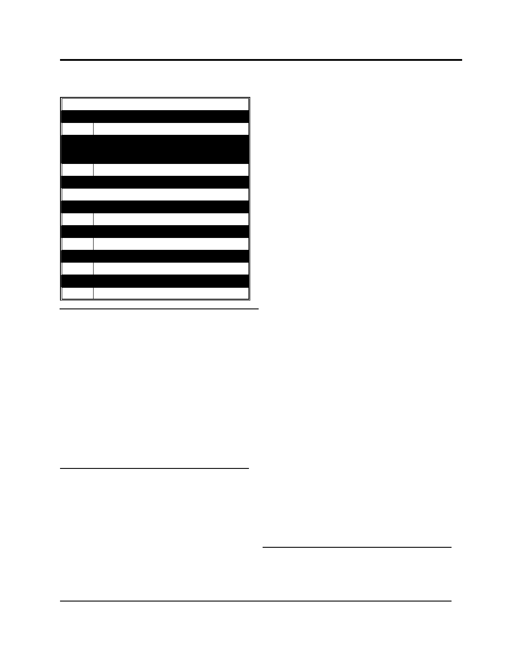| Table3. Effects of electronic signal energy as it applies to anti- |  |  |  |    |
|--------------------------------------------------------------------|--|--|--|----|
| inflammatory activity (27).                                        |  |  |  | VE |

| Primary effects (arising directly from the signal energy) |                                                                                                                       |  |  |  |
|-----------------------------------------------------------|-----------------------------------------------------------------------------------------------------------------------|--|--|--|
| i.                                                        | cellular oscillo/torsional (ionic movement) effect                                                                    |  |  |  |
| ii.                                                       | neuron blockade                                                                                                       |  |  |  |
| iii.                                                      | imitation of hormone/ligand activity to create an<br>electrical conformation change in the cell membrane<br>G-protein |  |  |  |
| iv.                                                       | sympathetic stimulation (function-imitation)                                                                          |  |  |  |
| V.                                                        | sympathetic stimulation (function-exhaustion)                                                                         |  |  |  |
| Secondary effects (resulting from the primary effect)     |                                                                                                                       |  |  |  |
| vi.                                                       | metabolite movement, dilution & redistribution                                                                        |  |  |  |
| vii.                                                      | sustained depolarization                                                                                              |  |  |  |
| viii.                                                     | cAMP formation/activation                                                                                             |  |  |  |
| ix.                                                       | cell membrane repair & stabilization                                                                                  |  |  |  |
| X.                                                        | facilitation of metabolism                                                                                            |  |  |  |
| xi.                                                       | vasoconstriction                                                                                                      |  |  |  |
| xii.                                                      | vasodilatation                                                                                                        |  |  |  |
| xiii.                                                     | immune system support                                                                                                 |  |  |  |

competition effect via the A- Esystem (Melzak/Wall's Gate Control Theory), sustained depolarization (We densky Inhibition), neuropeptide release (adrenergic response), increase in dopamine concentration (pain inhibitory transmitter), decrease in NE and 5-HT, ac celeration of the re-innervation process, activation of muscle pump, repeated cell membrane depolarization and repolarization activity, muscle training/strength ening, vasomotive imitation, muscle relaxation/spas molysis (decreasing referred pain and directly de creasing local muscular pain), and accommodation (preventing nerve from "trying to get around" an an tidromic block).

# **SAFETY**

The safety of EST has been established through out extensive use over the past 15 years. Nausea, vom iting, dizziness, etc. are commonly associated with chemical therapies, but are rare with EST. It appears that any EST undesired side effects are minimal and easily avoided.

One notable parameter of importance involving treatment with EST for inflammation processes is dos age, or intensity. Increasing the EST dose too much above the sensory threshold may exacerbate the in flammatory process by directly constricting the small

vessels necessary for moving (diluting) inflammatory mediators. When using the alternating, sequentially generated modulated and unmodulated middle fre quencies associated with EST, the electronic signal current sensation felt by the patient decreases as the frequency increases (higher current perception thresh old). The clinician asks the patient about his/her sensa tion of the current as the current is gradually adjusted to the desired therapeutic level. The patient's sensory response often assists in determining the optimum dose, unless a lower dose is otherwise dictated by treatment protocols, which is desired for inflamma tory indications.

As long as normal sensory responses are main tained with the administration of EST medium fre quencies, there is insufficient electrical signal energy delivered to cause tissue damage.

Excess and damaging currents, which could oth erwise cause harmful tissue heating, are completely avoided in the conscious patient. There are multiple heat effects on tissue that occur when using much higher frequencies, such as those delivered during Ra dio Frequency Thermocoagulation (RFTC – 512,000 Hz) treatment: e.g. nerve cell damage occurs over 45° C. and collagen destruction over 67° C. These heat effects are simply not possible when the electrical energy is delivered transcutaneously by current FDA cleared EST generation devices.

The heart is always a concern with electrical de  $\cdot$ vices. The electrophysiological implications of these frequency ranges are shown in Fig. 1 (28). Depending on the frequency and the electrode position (transthoracic or neck-abdomen) of applied alternating cur rent, dangerous ventricular fibrillations were induced roughly exponentially with increasing frequency. At frequencies above 4,000 Hz, the risk of interference with cardiac conduction pathways is almost non-ex istent because the electrical output capabilities of EST devices are much lower than those necessary to trigger ventricular fibrillation. Even if the electrodes are placed across the heart, which is not typically rec ommended, the electronic signal energy power den sity field is not high enough to trigger ventricular fibrillation.

# DISCUSSION OF THE A NTI-INFLAMMATORY EFFECTs OF EST

The authors have listed below some of the identi fied mechanisms of action that appear to provide antiinflammatory effects via EST application. One theoret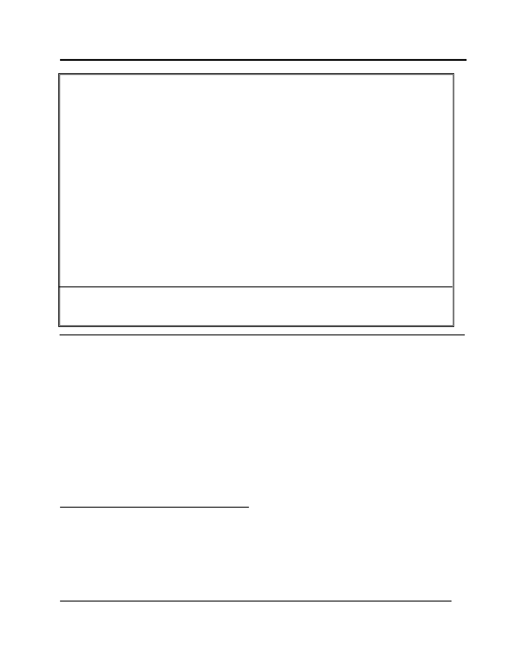Fig. 1. Current intensity and ventricular fibrillation threshold as function of frequency (1) . The red line indicates the demarcation between low frequency and middle frequency. For both electrode positions, note the exponen tial increase of ventricular fibrillation threshold at middle frequencies (28).

ical mechanism of action (facilitation) listed below is currently postulated by the authors based upon bio logical responses which may occur in tissues.

- **Facilitation**
- Oscillo/torsional response
- Enhancement of filtration/diffusion process
- pH normalization
- cAMP formation
- Cell membrane repair
- Influence on metabolism
- Sustained depolarization
- Immune system support
- Increase in blood flow

### FACILITATION : A CCELERATION OF N ORmAL INFLAMMATORY P ROCESS

The inflammation/migration response is initiated by a variety of electrically charged and active signal molecules produced locally by cells or by complement activation. These mediators act on capillary endotheli al cells lining the blood vessels, causing them to dilate and become permeable to fluid and proteins (29).

In this paper, we postulate that normally occur

ring inflammatory processes appear to be facilitated by exogenous administration of alternating polarity electric fields via EST. Specific-parameter EST appears to support the naturally occurring inflammatory pro cess with the following benefits. As the inflammatory metabolic cascade and bio-response is initiated, the oscillo/torsional effect (a direct effect on the cell de scribed in the next section) of the applied electronic signal energy (with imposed rapidly alternating elec tric polarity-reversals) is delivered to the targeted ana tomical inflamed area. The high concentration of elec trically charged signal molecules that temporarily exist within the inflamed anatomical treatment field are aggressively moved to and fro in response to the EST energy and concomitant alternating polarity reversals (30,31). Figure 2 illustrates this effect. This enhances the movement, dilution, and redistribution of these charged molecules that are directly linked to pain and inflammation mediators (H ions, etc).

It is hypothesized that, unlike anti-inflammatory drugs, which block the inflammatory mediators or their precursors, electric alternating polarity EST ap pears to facilitate and support the physiological in -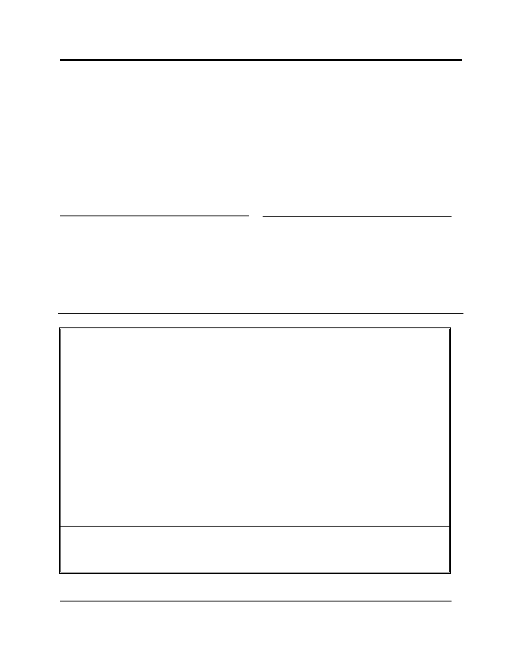flammatory process and minimize the time necessary for tissue to repair through a variety of mechanisms which are outlined in the sections which immediately follow.

These mechanisms (e.g. second messenger [cAMP]formation) minimize the normally occurring inflammatory side effects of pain and swelling (32) by initiating repair processes, by balancing chemical concentration differences, and by aggressive filtration and diffusion processes (15).

OsCILLO /TORsIONAL <sup>R</sup> EspONsE (V IbRATION , OsCILLATION , T WIsTING AND <sup>T</sup> uRNING EFFECTs )

The oscillo/torsional effect is obtained by an elec tro-vibratory effect upon the cell itself due to the rapid alternation of electrical polarity charges in response to the higher alternating current signal frequencies used with specific parameter EST energy. The signal's elec trical polarity continually reverses from a positive (an odal) charge to a negative (cathodal) at a rate equal ing 2 times the delivered EST frequency, i.e. 20,000 PPS

= 40,000 polarity reversals per second. The influence of electrically alternating fields can be expected to enhance the general movement of all charged mole cules with additional rotary movement of the charged particles (Fig. 3). This alternating polarity energy in creases the probability that specific chemical groups of substrates and enzymes (with normally opposed charges) will meet more readily in the required physi ological orientation (33). This effect may be of great importance in enhancing the enzymatic breakdown of pain and inflammatory mediators.

# ENHANCEmENT OF FILTRATION /D IFFusION P ROCEssEs

EST electrical fields influence enzyme/substrate activity involved in the metabolic process by increas ing the kinetic energy of the molecules, an effect which lowers the differences to the required activa tion energy and transition state (30,32). This increases the probability of important contact and correct ori entation connection between enzymes and substrates, which is necessary for the breakdown of pain produc

Fig. 2. Metabolic redistribution and enhancement of filtration/diffusion process by increasing the accidental collisions of en zymes and substrates of enzymes and substrates under the influence of electronic signal treatment. The additional kinetic energy from EST is manifested as 1) enhancement of translational movement, 2) enhancement of rotational movement, and 3) increased activation energy.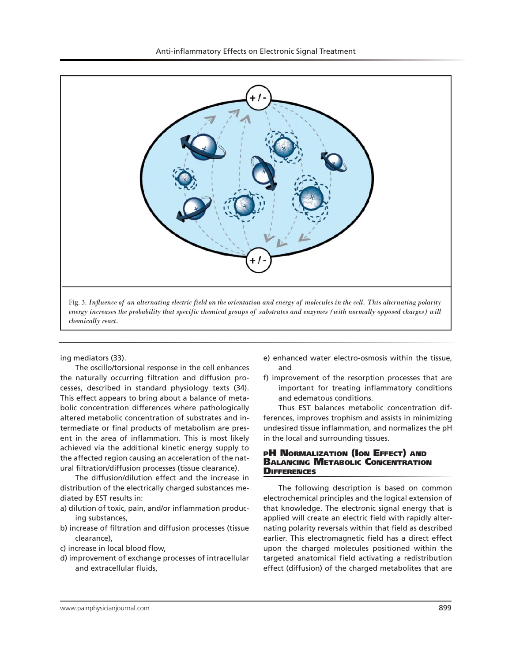

*energy increases the probability that specific chemical groups of substrates and enzymes (with normally opposed charges) will chemically react.*

ing mediators (33).

The oscillo/torsional response in the cell enhances the naturally occurring filtration and diffusion processes, described in standard physiology texts (34). This effect appears to bring about a balance of metabolic concentration differences where pathologically altered metabolic concentration of substrates and intermediate or final products of metabolism are present in the area of inflammation. This is most likely achieved via the additional kinetic energy supply to the affected region causing an acceleration of the natural filtration/diffusion processes (tissue clearance).

The diffusion/dilution effect and the increase in distribution of the electrically charged substances mediated by EST results in:

- a) dilution of toxic, pain, and/or inflammation producing substances,
- b) increase of filtration and diffusion processes (tissue clearance),
- c) increase in local blood flow,
- d) improvement of exchange processes of intracellular and extracellular fluids,
- e) enhanced water electro-osmosis within the tissue, and
- f) improvement of the resorption processes that are important for treating inflammatory conditions and edematous conditions.

Thus EST balances metabolic concentration differences, improves trophism and assists in minimizing undesired tissue inflammation, and normalizes the pH in the local and surrounding tissues.

# pH Normalization (Ion Effect) and **BALANCING METABOLIC CONCENTRATION DIFFERENCES**

The following description is based on common electrochemical principles and the logical extension of that knowledge. The electronic signal energy that is applied will create an electric field with rapidly alternating polarity reversals within that field as described earlier. This electromagnetic field has a direct effect upon the charged molecules positioned within the targeted anatomical field activating a redistribution effect (diffusion) of the charged metabolites that are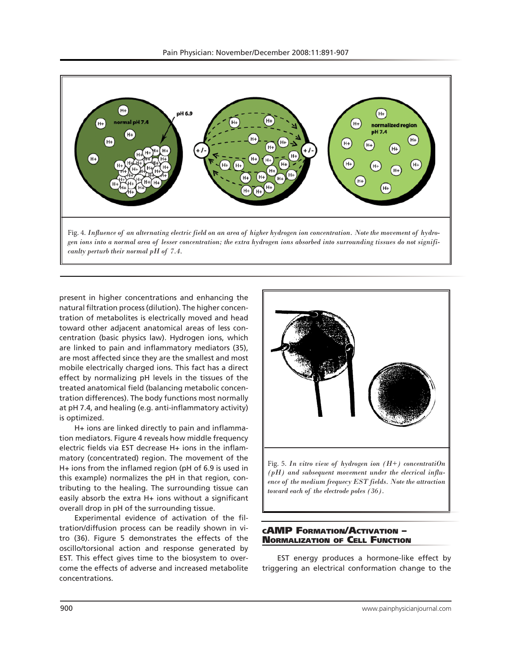

present in higher concentrations and enhancing the natural filtration process (dilution). The higher concentration of metabolites is electrically moved and head toward other adjacent anatomical areas of less concentration (basic physics law). Hydrogen ions, which are linked to pain and inflammatory mediators (35), are most affected since they are the smallest and most mobile electrically charged ions. This fact has a direct effect by normalizing pH levels in the tissues of the treated anatomical field (balancing metabolic concentration differences). The body functions most normally at pH 7.4, and healing (e.g. anti-inflammatory activity) is optimized.

H+ ions are linked directly to pain and inflammation mediators. Figure 4 reveals how middle frequency electric fields via EST decrease H+ ions in the inflammatory (concentrated) region. The movement of the H+ ions from the inflamed region (pH of 6.9 is used in this example) normalizes the pH in that region, contributing to the healing. The surrounding tissue can easily absorb the extra H+ ions without a significant overall drop in pH of the surrounding tissue.

Experimental evidence of activation of the filtration/diffusion process can be readily shown in vitro (36). Figure 5 demonstrates the effects of the oscillo/torsional action and response generated by EST. This effect gives time to the biosystem to overcome the effects of adverse and increased metabolite concentrations.



# *ence of the medium frequecy EST fields. Note the attraction toward each of the electrode poles (36).*

# cAMP Formation/Activation – Normalization of Cell Function

EST energy produces a hormone-like effect by triggering an electrical conformation change to the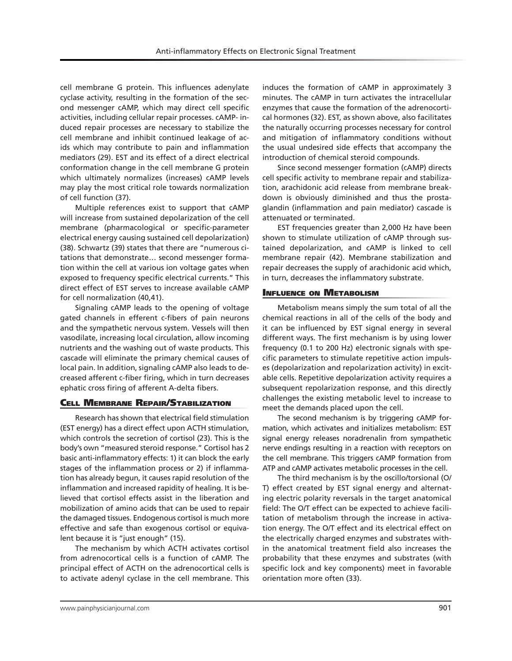cell membrane G protein. This influences adenylate cyclase activity, resulting in the formation of the second messenger cAMP, which may direct cell specific activities, including cellular repair processes. cAMP- induced repair processes are necessary to stabilize the cell membrane and inhibit continued leakage of acids which may contribute to pain and inflammation mediators (29). EST and its effect of a direct electrical conformation change in the cell membrane G protein which ultimately normalizes (increases) cAMP levels may play the most critical role towards normalization of cell function (37).

Multiple references exist to support that cAMP will increase from sustained depolarization of the cell membrane (pharmacological or specific-parameter electrical energy causing sustained cell depolarization) (38). Schwartz (39) states that there are "numerous citations that demonstrate… second messenger formation within the cell at various ion voltage gates when exposed to frequency specific electrical currents." This direct effect of EST serves to increase available cAMP for cell normalization (40,41).

Signaling cAMP leads to the opening of voltage gated channels in efferent c-fibers of pain neurons and the sympathetic nervous system. Vessels will then vasodilate, increasing local circulation, allow incoming nutrients and the washing out of waste products. This cascade will eliminate the primary chemical causes of local pain. In addition, signaling cAMP also leads to decreased afferent c-fiber firing, which in turn decreases ephatic cross firing of afferent A-delta fibers.

# Cell Membrane Repair/Stabilization

Research has shown that electrical field stimulation (EST energy) has a direct effect upon ACTH stimulation, which controls the secretion of cortisol (23). This is the body's own "measured steroid response." Cortisol has 2 basic anti-inflammatory effects: 1) it can block the early stages of the inflammation process or 2) if inflammation has already begun, it causes rapid resolution of the inflammation and increased rapidity of healing. It is believed that cortisol effects assist in the liberation and mobilization of amino acids that can be used to repair the damaged tissues. Endogenous cortisol is much more effective and safe than exogenous cortisol or equivalent because it is "just enough" (15).

The mechanism by which ACTH activates cortisol from adrenocortical cells is a function of cAMP. The principal effect of ACTH on the adrenocortical cells is to activate adenyl cyclase in the cell membrane. This

induces the formation of cAMP in approximately 3 minutes. The cAMP in turn activates the intracellular enzymes that cause the formation of the adrenocortical hormones (32). EST, as shown above, also facilitates the naturally occurring processes necessary for control and mitigation of inflammatory conditions without the usual undesired side effects that accompany the introduction of chemical steroid compounds.

Since second messenger formation (cAMP) directs cell specific activity to membrane repair and stabilization, arachidonic acid release from membrane breakdown is obviously diminished and thus the prostaglandin (inflammation and pain mediator) cascade is attenuated or terminated.

EST frequencies greater than 2,000 Hz have been shown to stimulate utilization of cAMP through sustained depolarization, and cAMP is linked to cell membrane repair (42). Membrane stabilization and repair decreases the supply of arachidonic acid which, in turn, decreases the inflammatory substrate.

# Influence on Metabolism

Metabolism means simply the sum total of all the chemical reactions in all of the cells of the body and it can be influenced by EST signal energy in several different ways. The first mechanism is by using lower frequency (0.1 to 200 Hz) electronic signals with specific parameters to stimulate repetitive action impulses (depolarization and repolarization activity) in excitable cells. Repetitive depolarization activity requires a subsequent repolarization response, and this directly challenges the existing metabolic level to increase to meet the demands placed upon the cell.

The second mechanism is by triggering cAMP formation, which activates and initializes metabolism: EST signal energy releases noradrenalin from sympathetic nerve endings resulting in a reaction with receptors on the cell membrane. This triggers cAMP formation from ATP and cAMP activates metabolic processes in the cell.

The third mechanism is by the oscillo/torsional (O/ T) effect created by EST signal energy and alternating electric polarity reversals in the target anatomical field: The O/T effect can be expected to achieve facilitation of metabolism through the increase in activation energy. The O/T effect and its electrical effect on the electrically charged enzymes and substrates within the anatomical treatment field also increases the probability that these enzymes and substrates (with specific lock and key components) meet in favorable orientation more often (33).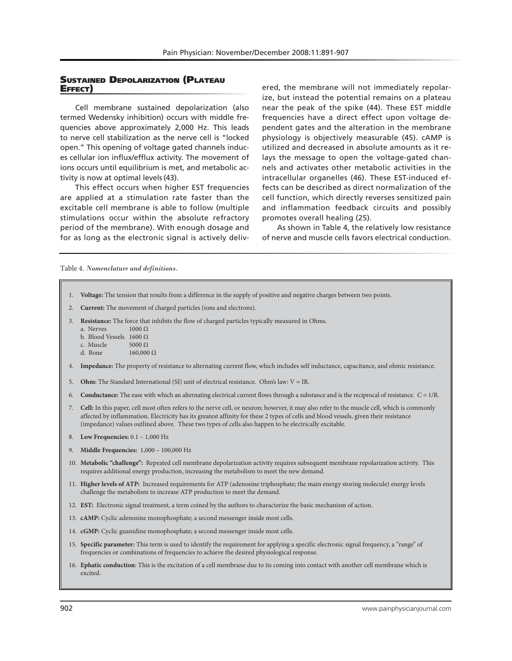# Sustained Depolarization (Plateau Effect)

Cell membrane sustained depolarization (also termed Wedensky inhibition) occurs with middle frequencies above approximately 2,000 Hz. This leads to nerve cell stabilization as the nerve cell is "locked open." This opening of voltage gated channels induces cellular ion influx/efflux activity. The movement of ions occurs until equilibrium is met, and metabolic activity is now at optimal levels(43).

This effect occurs when higher EST frequencies are applied at a stimulation rate faster than the excitable cell membrane is able to follow (multiple stimulations occur within the absolute refractory period of the membrane). With enough dosage and for as long as the electronic signal is actively deliv-

ered, the membrane will not immediately repolarize, but instead the potential remains on a plateau near the peak of the spike (44). These EST middle frequencies have a direct effect upon voltage dependent gates and the alteration in the membrane physiology is objectively measurable (45). cAMP is utilized and decreased in absolute amounts as it relays the message to open the voltage-gated channels and activates other metabolic activities in the intracellular organelles (46). These EST-induced effects can be described as direct normalization of the cell function, which directly reverses sensitized pain and inflammation feedback circuits and possibly promotes overall healing (25).

As shown in Table 4, the relatively low resistance of nerve and muscle cells favors electrical conduction.

Table 4. *Nomenclature and definitions.* 

- 1. **Voltage:** The tension that results from a difference in the supply of positive and negative charges between two points.
- 2. **Current:** The movement of charged particles (ions and electrons).
- 3. **Resistance:** The force that inhibits the flow of charged particles typically measured in Ohms.<br>a Nerves  $1000 \Omega$ a. Nerves

b. Blood Vessels  $1600 \Omega$ 

- 
- c. Muscle  $5000 \Omega$ <br>d Bone  $160,000$  $160,000,0$
- 4. **Impedance:** The property of resistance to alternating current flow, which includes self inductance, capacitance, and ohmic resistance.
- 5. **Ohm:** The Standard International (SI) unit of electrical resistance. Ohm's law: V = IR.
- 6. **Conductance:** The ease with which an alternating electrical current flows through a substance and is the reciprocal of resistance. C = 1/R.
- 7. **Cell:** In this paper, cell most often refers to the nerve cell, or neuron; however, it may also refer to the muscle cell, which is commonly affected by inflammation. Electricity has its greatest affinity for these 2 types of cells and blood vessels, given their resistance (impedance) values outlined above. These two types of cells also happen to be electrically excitable.
- 8. **Low Frequencies:** 0.1 1,000 Hz
- 9. **Middle Frequencies:** 1,000 100,000 Hz
- 10. **Metabolic "challenge":** Repeated cell membrane depolarization activity requires subsequent membrane repolarization activity. This requires additional energy production, increasing the metabolism to meet the new demand.
- 11. **Higher levels of ATP:** Increased requirements for ATP (adenosine triphosphate; the main energy storing molecule) energy levels challenge the metabolism to increase ATP production to meet the demand.
- 12. **EST:** Electronic signal treatment, a term coined by the authors to characterize the basic mechanism of action.
- 13. **cAMP:** Cyclic adenosine monophosphate; a second messenger inside most cells.
- 14. **cGMP:** Cyclic guanidine monophosphate; a second messenger inside most cells.
- 15. **Specific parameter:** This term is used to identify the requirement for applying a specific electronic signal frequency, a "range" of frequencies or combinations of frequencies to achieve the desired physiological response.
- 16. **Ephatic conduction**: This is the excitation of a cell membrane due to its coming into contact with another cell membrane which is excited.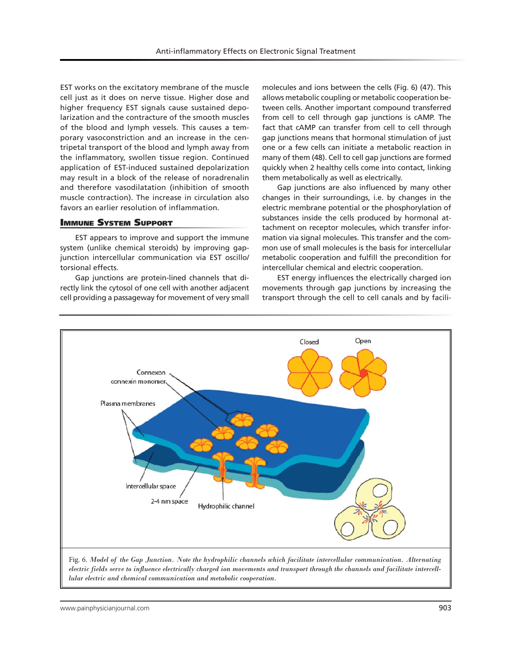EST works on the excitatory membrane of the muscle cell just as it does on nerve tissue. Higher dose and higher frequency EST signals cause sustained depolarization and the contracture of the smooth muscles of the blood and lymph vessels. This causes a temporary vasoconstriction and an increase in the centripetal transport of the blood and lymph away from the inflammatory, swollen tissue region. Continued application of EST-induced sustained depolarization may result in a block of the release of noradrenalin and therefore vasodilatation (inhibition of smooth muscle contraction). The increase in circulation also favors an earlier resolution of inflammation.

### Immune System Support

EST appears to improve and support the immune system (unlike chemical steroids) by improving gapjunction intercellular communication via EST oscillo/ torsional effects.

Gap junctions are protein-lined channels that directly link the cytosol of one cell with another adjacent cell providing a passageway for movement of very small

molecules and ions between the cells (Fig. 6) (47). This allows metabolic coupling or metabolic cooperation between cells. Another important compound transferred from cell to cell through gap junctions is cAMP. The fact that cAMP can transfer from cell to cell through gap junctions means that hormonal stimulation of just one or a few cells can initiate a metabolic reaction in many of them (48). Cell to cell gap junctions are formed quickly when 2 healthy cells come into contact, linking them metabolically as well as electrically.

Gap junctions are also influenced by many other changes in their surroundings, i.e. by changes in the electric membrane potential or the phosphorylation of substances inside the cells produced by hormonal attachment on receptor molecules, which transfer information via signal molecules. This transfer and the common use of small molecules is the basis for intercellular metabolic cooperation and fulfill the precondition for intercellular chemical and electric cooperation.

EST energy influences the electrically charged ion movements through gap junctions by increasing the transport through the cell to cell canals and by facili-



*lular electric and chemical communication and metabolic cooperation.*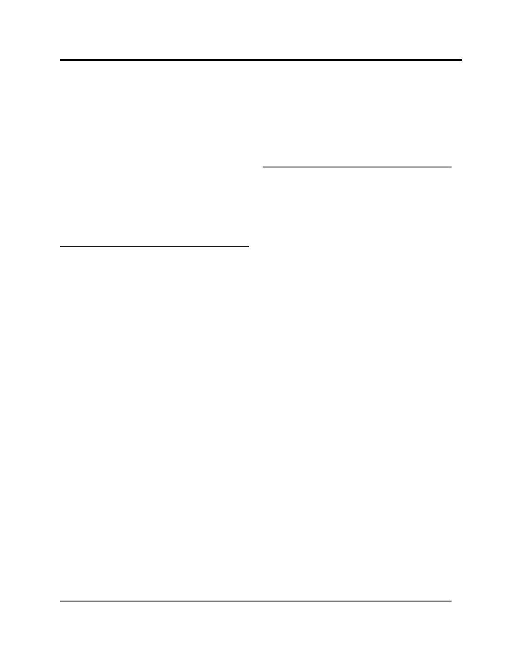tating intercellular electric and chemical communica tion and metabolic cooperation. EST energy fields con tribute to a functional improvement in tissues which are dysfunctional, e.g., in the healing phase of injured tissue, in degenerative tissue changes, in metabolic conditions, in edema, and in regions of decreased blood supply (49).

In contrast to nature's "measured ACTH and ste roid response" described in the section "Cell Mem brane Repair/Stabilization," exogenously adminis tered (chemical) steroids may dramatically suppress immune system activity. Therefore, the "appropriate immune response" to the chemical therapy of inflam mation is sacrificed.

### INCREAsE IN B LOOD FLOW /E DEmA REDuCTION (M ACRO EFFECT )

The physiological effects (metabolic challenge) of electronic signal energy on motor nerves and muscle stimulation are accomplished by lower frequencies. This effect results in subsequent increased metabolism autoregulatory vascular mechanisms that produce a decrease in peripheral resistance of the vasculature in the stimulated treatment field. These autoregulatory vascular mechanisms are controlled by the end prod ucts of metabolism  $-$  CO  $_2$ , lactate (pH decrease), and adenosine release. ATP consumption is initiated by de polarization of excitable cells and because these cells attempt to immediately repolarize their membrane potential, there is an increased demand for ATP as the source of energy. Higher EST frequency and dos age has a blocking effect (25,27,37) on sympathetic vasoconstrictory nerve fibers resulting in vasodilata tion within the vasculature innervated by these sym pathetic fibers. In this way, blocking afferent c-fibers increases local circulation.

Multiple mechanisms of action apply in the treat ment of edematous conditions with EST. When lower frequency parameters are employed at dosage levels above the nerve's firing threshold, the activated nerve stimulation would enhance the centripetal transport of venous blood and lymph via sympathetic stimula tion. Higher EST dosage above the muscle contraction threshold would activate the muscle pump response, enhancing also the centripetal flow of blood and lymph. Alternating frequency parameters of applied EST energy are effectively used to assist in the move ment of inflammatory mediators and end-products away from the area of inflammation. This effect will also directly lead to the reduction of inflammation.

These physiological effects can be produced in EST-ca pable devices by programming the use of alternating AM and FM middle frequencies in certain specific-pa rameter sequences. Edema reduction by EST is so im portant and complex that a full explanation of current understanding is deferred to a future paper.

### TWO A ppLICATIONs : N EuROGENIC AND NEuRAL I NFLAmmATION

The inflammatory response is categorized into 3 types: 1) traumatic — neutrophils and macrophages; 2) immunogenic — lymphocytes and other immune cells; and 3) neurogenic — sprouting nerve cells, de granulating mast cells, altered vascular endothelial cells (1).

Multiple mechanisms for minimizing the effects of the standard inflammatory response by EST have been identified and described. The application of these principles to neurogenic inflammation is now described. Neurogenic inflammation is defined as a process stimulated by chronic severe pain in which the "central nervous system will undergo changes and start generating signals that will maintain and drive the peripheral inflammatory response" (49). This pro cess is a functional as well as an anatomic change. Sev eral pathological processes occur at once: sprouting nerve cells, degranulation of mast cells, and altered vascular endothelial cells. A critical component of this process is the anti-dromic transmission of signals from the dorsal horn cells, which have been stimulated chemically by mast cell release of 5-HT, histamine, and substance P, and electrically by the release of cGRP and substance P to blood vessels resulting in the release of NO, bradykinin, and vasoactive intestinal peptide (VIP) operating directly on nerve endings.

This process is one of the most likely mechanisms for the propagation of chronic pain and is one way of differentiating chronic pain from the acute pain pro cess. An excellent, well-written and easily understood explanation of this important concept can be found in Brookoff's review article (50).

Application of electronic signal treatment can interfere with this pathological process by multiple mechanisms. Cell membrane repair and stabilizing ef fects of EST are postulated to specifically stabilize mast cells, inhibit their degranulation, and block the release of the algOric pro-inflammatory mediators. This ef fect, in turn, will serve to block generation of the an tidromic transmission originating in the dorsal horn. The sustained depolarization effect directly blocks an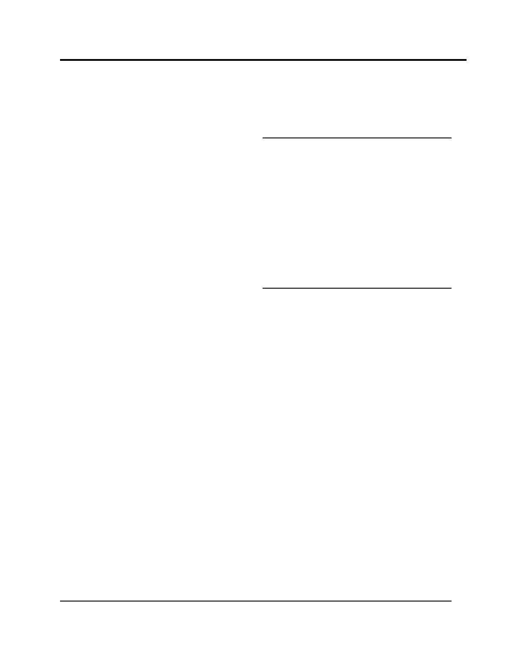tidromic propagation from the dorsal horn to the pe riphery. In addition, the depolarizing effects of EST will block all nerve cell transmission, pro-dromic and antidromic. The membrane stabilizing effects of vascular endothelium will also serve to reduce vascular leakage of inflammatory mediators, hydrogen ions, and fluid, and thus block the generation of edema. Also, block ing afferent c-fibers will increase local circulation and further decrease neurogenic inflammation.

Neural inflammation directly results from neural injury. This type of inflammation is directly associ ated with neuropathic pain, since there are changes in the anatomic structure of the infrastructure. Neural inflammation is very elegantly described in the same article by Brookoff (50) as the result of the interplay of the 3 types of glial cells, all recruited by macrophages, in response to neural injury: 1) microglia; 2) astrocytes; and 3) oligodendrocytes. The microglia are the media tors of the proinflammatory response; their upregula tion can lead to the chronic inflammatory state. The astrocytes surround synapses and can send and modify neural signals; and the oligodendrocytes form myelin. According to Brookoff, there is experimental evidence "…implicating neural inflammation as a driver of pain, hyperalgesia, and allodynia" (50).

Just as with neurogenic inflammation, EST can diminish the effects of neural inflammation by mini mizing the inflammatory response at multiple points in this cascade. Mitigating the initial inflammatory response by all mechanisms described above would have the overall effect of decreasing the activity of microglia cells to "nip the process in the bud." The EST-induced electrical conformation changes in the cell membrane G-protein as well as other membrane stabilization properties of EST described above, could serve to decrease microglial activity. Likewise, because of the ability of EST to block nerve conduction by caus ing a sustained depolarized state of the nerve cells, synapses are quiet, non-transmitting, and less likely to be influenced by inflammatory driven astrocyte activi ties. cAMP formation/activation further will serve to begin the healing process in the nerve cells themselves and minimize the effects of the insult.

The EST effect on both neurogenic and neural in flammation is enhanced by its action on the overall im mune function. Important effects include activation of cells of the immune system, sustained depolarization, cAMP formation, facilitation of intracellular commu nication, an increase in the generation of the natural killer cells (NK) (51), and enhancement of the efficacy

of the activity of the cells of the immune system. This enhanced immune response can serve to manage the development of the neural inflammation response as it does in non-neural inflammation.

# FINANCIAL R AmIFICATIONs

Health care costs are increasing at an alarming rate (52). Third party payers are becoming increas ingly alarmed at the costs of pharmacological treat ment and drugs are becoming more expensive per se. Additional costs are iatrogenic — incurred because of complications resulting from the side effects of drugs. Because of the safety profile of EST, there are virtually no expenses associated with side effects.

We also postulate that the safety profile of EST will promote less professional liability exposure. The verification of this statement will only come with the increasing widespread use of EST as an alternative to steroids and NSAIDs.

### **SUMMARY**

We postulate that pharmaceuticals have a ten dency to overwhelm biosystems, a very unnatural pro gression as evidenced by the side effect profiles. EST works through biosystems and their controls. We have presented multiple mechanisms, most documented and one postulated, which demonstrate initial facili tation and then quick resolution of the inflammatory process to prevent it from leading to chronic inflam mation and chronic pain. While complex, all concepts above fit together when taken into the context of signaling cAMP; however, the basic signaling mecha nism could easily be the oscillo/torsional ionic action on cyclic AMP. Through this and the other mechanisms discussed, cellular derangements are returned to nor mal in optimum physiological time.

A paradigm shift in our approach, thinking "out of the box," should begin soon, for several reasons. Many patients in chronic pain are simply being under treated for a variety of reasons. Narcotic medications are being diverted in increasing numbers. Most impor tantly, a recent study on adverse drug events based on the FDA voluntary reporting system has found that the death rate has increased out of proportion to the increase in the number of prescriptions written, and the greatest culprits are pain medications and im mune modulating drugs (3). The authors emphasized that these findings "show that the existing system is not adequately protecting patients and underscores the importance of recent reports urging far-reaching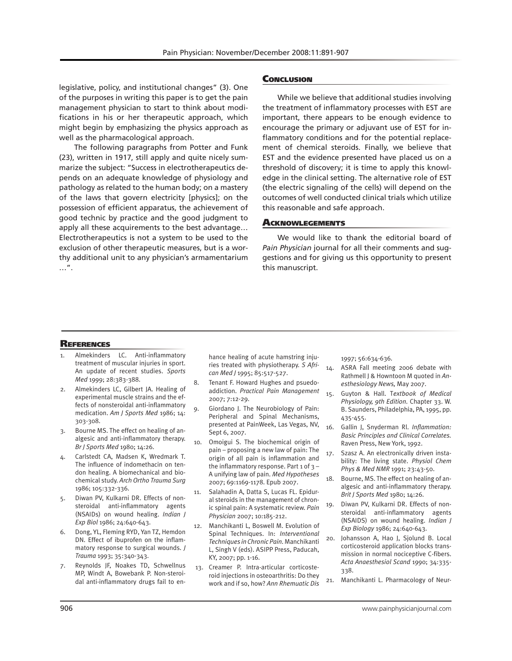legislative, policy, and institutional changes" (3). One of the purposes in writing this paper is to get the pain management physician to start to think about modifications in his or her therapeutic approach, which might begin by emphasizing the physics approach as well as the pharmacological approach.

The following paragraphs from Potter and Funk (23), written in 1917, still apply and quite nicely summarize the subject: "Success in electrotherapeutics depends on an adequate knowledge of physiology and pathology as related to the human body; on a mastery of the laws that govern electricity [physics]; on the possession of efficient apparatus, the achievement of good technic by practice and the good judgment to apply all these acquirements to the best advantage… Electrotherapeutics is not a system to be used to the exclusion of other therapeutic measures, but is a worthy additional unit to any physician's armamentarium …".

### **CONCLUSION**

While we believe that additional studies involving the treatment of inflammatory processes with EST are important, there appears to be enough evidence to encourage the primary or adjuvant use of EST for inflammatory conditions and for the potential replacement of chemical steroids. Finally, we believe that EST and the evidence presented have placed us on a threshold of discovery; it is time to apply this knowledge in the clinical setting. The alternative role of EST (the electric signaling of the cells) will depend on the outcomes of well conducted clinical trials which utilize this reasonable and safe approach.

### **ACKNOWLEGEMENTS**

We would like to thank the editorial board of *Pain Physician* journal for all their comments and suggestions and for giving us this opportunity to present this manuscript.

#### **REFERENCES**

- 1. Almekinders LC. Anti-inflammatory treatment of muscular injuries in sport. An update of recent studies. *Sports Med* 1999; 28:383-388.
- 2. Almekinders LC, Gilbert JA. Healing of experimental muscle strains and the effects of nonsteroidal anti-inflammatory medication. *Am J Sports Med* 1986; 14: 303-308.
- 3. Bourne MS. The effect on healing of analgesic and anti-inflammatory therapy. *Br J Sports Med* 1980; 14:26.
- 4. Carlstedt CA, Madsen K, Wredmark T. The influence of indomethacin on tendon healing. A biomechanical and biochemical study. *Arch Ortho Trauma Surg* 1986; 105:332-336.
- 5. Diwan PV, Kulkarni DR. Effects of nonsteroidal anti-inflammatory agents (NSAIDs) on wound healing. *Indian J Exp Biol* 1986; 24:640-643.
- 6. Dong, YL, Fleming RYD, Yan TZ, Hemdon DN. Effect of ibuprofen on the inflammatory response to surgical wounds. *J Trauma* 1993; 35:340-343.
- Reynolds JF, Noakes TD, Schwellnus MP, Windt A, Bowebank P. Non-steroidal anti-inflammatory drugs fail to en-

hance healing of acute hamstring injuries treated with physiotherapy. *S African Med J* 1995; 85:517-527.

- 8. Tenant F. Howard Hughes and psuedoaddiction. *Practical Pain Management* 2007; 7:12-29.
- 9. Giordano J. The Neurobiology of Pain: Peripheral and Spinal Mechanisms, presented at PainWeek, Las Vegas, NV, Sept 6, 2007.
- 10. Omoigui S. The biochemical origin of pain – proposing a new law of pain: The origin of all pain is inflammation and the inflammatory response. Part 1 of 3 -A unifying law of pain. *Med Hypotheses* 2007; 69:1169-1178. Epub 2007.
- 11. Salahadin A, Datta S, Lucas FL. Epidural steroids in the management of chronic spinal pain: A systematic review. *Pain Physician* 2007; 10:185-212.
- 12. Manchikanti L, Boswell M. Evolution of Spinal Techniques. In: *Interventional Techniques in Chronic Pain.* Manchikanti L, Singh V (eds). ASIPP Press, Paducah, KY, 2007; pp. 1-16.
- 13. Creamer P. Intra-articular corticosteroid injections in osteoarthritis: Do they work and if so, how? *Ann Rhemuatic Dis*

1997; 56:634-636.

- 14. ASRA Fall meeting 2006 debate with Rathmell J & Howntoon M quoted in *Anesthesiology News,* May 2007.
- 15. Guyton & Hall. T*extbook of Medical Physiology, 9th Edition.* Chapter 33. W. B. Saunders, Philadelphia, PA, 1995, pp. 435-455.
- 16. Gallin J, Snyderman Rl. *Inflammation: Basic Principles and Clinical Correlates.*  Raven Press, New York, 1992.
- 17. Szasz A. An electronically driven instability: The living state. *Physiol Chem Phys & Med NMR* 1991; 23:43-50.
- 18. Bourne, MS. The effect on healing of analgesic and anti-inflammatory therapy. *Brit J Sports Med* 1980; 14:26.
- 19. Diwan PV, Kulkarni DR. Effects of nonsteroidal anti-inflammatory agents (NSAIDS) on wound healing. *Indian J Exp Biology* 1986; 24:640-643.
- 20. Johansson A, Hao J, Sjolund B. Local corticosteroid application blocks transmission in normal nociceptive C-fibers. *Acta Anaesthesiol Scand* 1990; 34:335- 338.
- 21. Manchikanti L. Pharmacology of Neur-